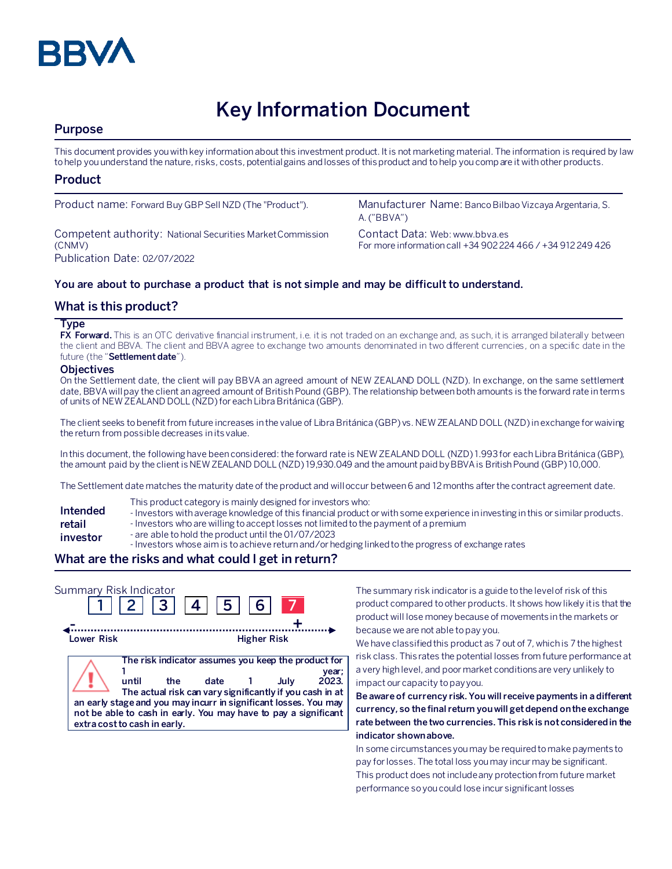

# **Key Information Document**

## **Purpose**

This document provides you with key information about this investment product. It is not marketing material. The information is required by law to help you understand the nature, risks, costs, potential gains and losses of this product and to help you compare it with other products.

## **Product**

Competent authority: National Securities Market Commission (CNMV) Publication Date: 02/07/2022

Product name: Forward Buy GBP Sell NZD (The "Product"). Manufacturer Name: Banco Bilbao Vizcaya Argentaria, S. A. ("BBVA")

> Contact Data: Web: www.bbva.es For more information call +34 902 224 466 / +34 912 249 426

### **You are about to purchase a product that is not simple and may be difficult to understand.**

## **What is this product?**

#### **Type**

**FX Forward.** This is an OTC derivative financial instrument, i.e. it is not traded on an exchange and, as such, it is arranged bilaterally between the client and BBVA. The client and BBVA agree to exchange two amounts denominated in two different currencies, on a specific date in the future (the "**Settlement date**").

#### **Objectives**

On the Settlement date, the client will pay BBVA an agreed amount of NEW ZEALAND DOLL (NZD). In exchange, on the same settlement date, BBVA will pay the client an agreed amount of British Pound (GBP). The relationship between both amounts is the forward rate in terms of units of NEW ZEALAND DOLL (NZD) for each Libra Británica (GBP).

The client seeks to benefit from future increases in the value of Libra Británica (GBP) vs. NEW ZEALAND DOLL (NZD) in exchange for waiving the return from possible decreases in its value.

In this document, the following have been considered: the forward rate is NEW ZEALAND DOLL (NZD) 1.993for each Libra Británica (GBP), the amount paid by the client is NEW ZEALAND DOLL (NZD) 19,930.049 and the amount paidby BBVA is British Pound (GBP) 10,000.

The Settlement date matches the maturity date of the product and will occur between 6 and 12 months after the contract agreement date.

- This product category is mainly designed for investors who:
- **Intended**  - Investors with average knowledge of this financial product or with some experience in investing in this or similar products.
- **retail**  - Investors who are willing to accept losses not limited to the payment of a premium
- **investor** - are able to hold the product until the 01/07/2023
	- Investors whose aim is to achieve return and/or hedging linked to the progress of exchange rates

#### **What are the risks and what could I get in return?**



The summary risk indicator is a guide to the level of risk of this product compared to other products. It shows how likely it is that the product will lose money because of movements in the markets or because we are not able to pay you.

We have classified this product as 7 out of 7, which is 7 the highest risk class. This rates the potential losses from future performance at a very high level, and poor market conditions are very unlikely to impact our capacity to pay you.

**Be aware of currency risk. You will receive payments in a different currency, so the final return you will get depend on the exchange rate between the two currencies. This risk is not considered in the indicator shown above.**

In some circumstances you may be required to make payments to pay for losses. The total loss you may incur may be significant. This product does not include any protection from future market performance so you could lose incur significant losses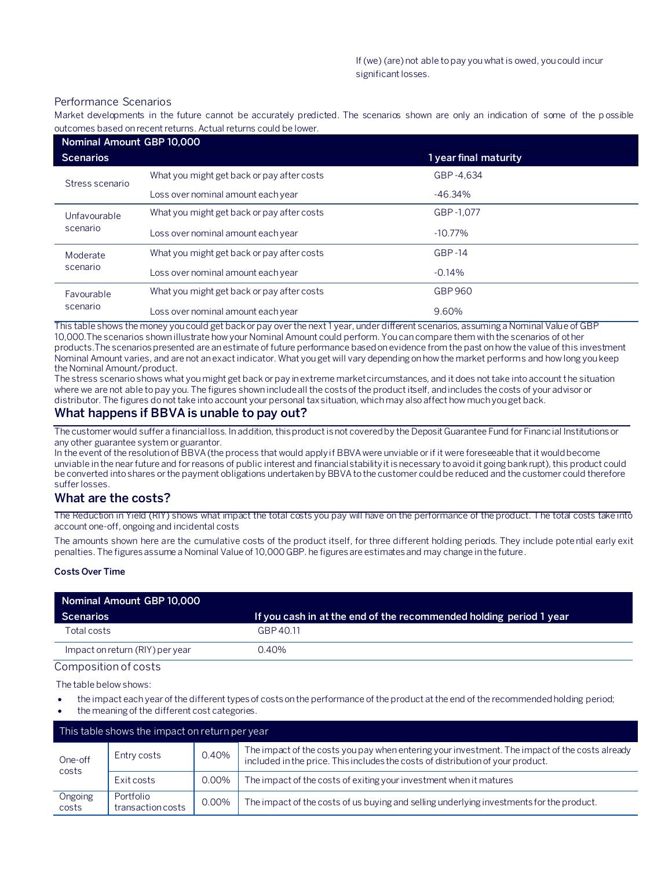#### Performance Scenarios

Market developments in the future cannot be accurately predicted. The scenarios shown are only an indication of some of the p ossible outcomes based on recent returns. Actual returns could be lower.

| Nominal Amount GBP 10,000 |                                            |                       |  |
|---------------------------|--------------------------------------------|-----------------------|--|
| <b>Scenarios</b>          |                                            | 1 year final maturity |  |
| Stress scenario           | What you might get back or pay after costs | GBP-4.634             |  |
|                           | Loss over nominal amount each year         | $-46.34\%$            |  |
| Unfavourable<br>scenario  | What you might get back or pay after costs | GBP-1.077             |  |
|                           | Loss over nominal amount each year         | $-10.77\%$            |  |
| Moderate<br>scenario      | What you might get back or pay after costs | $GBP-14$              |  |
|                           | Loss over nominal amount each year         | $-0.14%$              |  |
| Favourable<br>scenario    | What you might get back or pay after costs | GBP 960               |  |
|                           | Loss over nominal amount each year         | 9.60%                 |  |

This table shows the money you could get back or pay over the next 1 year, under different scenarios, assuming a Nominal Value of GBP 10,000.The scenarios shown illustrate how your Nominal Amount could perform. You can compare them with the scenarios of other products.The scenarios presented are an estimate of future performance based on evidence from the past on how the value of this investment Nominal Amount varies, and are not an exact indicator. What you get will vary depending on how the market performs and how long you keep the Nominal Amount/product.

The stress scenario shows what you might get back or pay in extreme market circumstances, and it does not take into account the situation where we are not able to pay you. The figures shown include all the costs of the product itself, and includes the costs of your advisor or distributor. The figures do not take into account your personal tax situation, which may also affect how much you get back.

## **What happens if BBVA is unable to pay out?**

The customer would suffer a financial loss. In addition, this product is not covered by the Deposit Guarantee Fund for Financial Institutions or any other guarantee system or guarantor.

In the event of the resolution of BBVA (the process that would apply if BBVA were unviable or if it were foreseeable that it would become unviable in the near future and for reasons of public interest and financial stability it is necessary to avoid it going bankrupt), this product could be converted into shares or the payment obligations undertaken by BBVA to the customer could be reduced and the customer could therefore suffer losses.

## **What are the costs?**

The Reduction in Yield (RIY) shows what impact the total costs you pay will have on the performance of the product. The total costs take into account one-off, ongoing and incidental costs

The amounts shown here are the cumulative costs of the product itself, for three different holding periods. They include potential early exit penalties. The figures assume a Nominal Value of 10,000 GBP. he figures are estimates and may change in the future.

#### **Costs Over Time**

| Nominal Amount GBP 10,000       |                                                                    |  |  |  |  |
|---------------------------------|--------------------------------------------------------------------|--|--|--|--|
| Scenarios                       | If you cash in at the end of the recommended holding period 1 year |  |  |  |  |
| Total costs                     | GBP 40.11                                                          |  |  |  |  |
| Impact on return (RIY) per year | $0.40\%$                                                           |  |  |  |  |

Composition of costs

The table below shows:

- the impact each year of the different types of costs on the performance of the product at the end of the recommended holding period;
- the meaning of the different cost categories.

| This table shows the impact on return per year |                                |       |                                                                                                                                                                                   |  |  |  |
|------------------------------------------------|--------------------------------|-------|-----------------------------------------------------------------------------------------------------------------------------------------------------------------------------------|--|--|--|
| One-off<br>costs                               | Entry costs                    | 0.40% | The impact of the costs you pay when entering your investment. The impact of the costs already<br>included in the price. This includes the costs of distribution of your product. |  |  |  |
|                                                | Exit costs                     | 0.00% | The impact of the costs of exiting your investment when it matures                                                                                                                |  |  |  |
| Ongoing<br>costs                               | Portfolio<br>transaction costs | 0.00% | The impact of the costs of us buying and selling underlying investments for the product.                                                                                          |  |  |  |